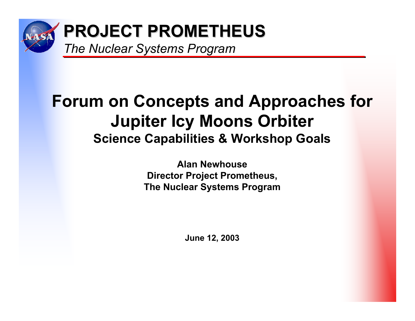

# **Forum on Concepts and Approaches for Jupiter Icy Moons Orbiter Science Capabilities & Workshop Goals**

**Alan NewhouseDirector Project Prometheus, The Nuclear Systems Program**

**June 12, 2003**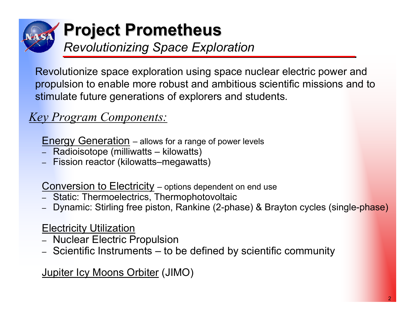

## **Project Prometheus Project Prometheus** *Revolutionizing Space Exploration*

Revolutionize space exploration using space nuclear electric power and propulsion to enable more robust and ambitious scientific missions and to stimulate future generations of explorers and students.

### *Key Program Components:*

Energy Generation – allows for a range of power levels

- ‒ Radioisotope (milliwatts kilowatts)
- Fission reactor (kilowatts–megawatts)

**Conversion to Electricity** – options dependent on end use

- Static: Thermoelectrics, Thermophotovoltaic
- Dynamic: Stirling free piston, Rankine (2-phase) & Brayton cycles (single-phase)

#### **Electricity Utilization**

- ‒ Nuclear Electric Propulsion
- ‒ Scientific Instruments to be defined by scientific community

Jupiter Icy Moons Orbiter (JIMO)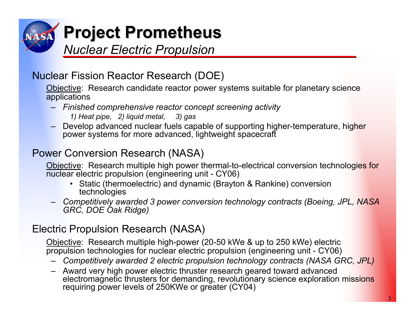

#### Nuclear Fission Reactor Research (DOE)

Objective: Research candidate reactor power systems suitable for planetary science applications

- – *Finished comprehensive reactor concept screening activity* 
	- *1) Heat pipe, 2) liquid metal, 3) gas*
- Develop advanced nuclear fuels capable of supporting higher-temperature, higher power systems for more advanced, lightweight spacecraft

#### Power Conversion Research (NASA)

Objective: Research multiple high power thermal-to-electrical conversion technologies for nuclear electric propulsion (engineering unit - CY06)

- Static (thermoelectric) and dynamic (Brayton & Rankine) conversion technologies
- *Competitively awarded 3 power conversion technology contracts (Boeing, JPL, NASA GRC, DOE Oak Ridge)*

#### Electric Propulsion Research (NASA)

Objective: Research multiple high-power (20-50 kWe & up to 250 kWe) electric propulsion technologies for nuclear electric propulsion (engineering unit - CY06)

- –*Competitively awarded 2 electric propulsion technology contracts (NASA GRC, JPL)*
- Award very high power electric thruster research geared toward advanced electromagnetic thrusters for demanding, revolutionary science exploration missions requiring power levels of 250KWe or greater (CY04)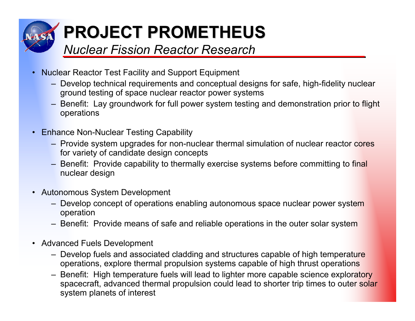

- • Nuclear Reactor Test Facility and Support Equipment
	- Develop technical requirements and conceptual designs for safe, high-fidelity nuclear ground testing of space nuclear reactor power systems
	- Benefit: Lay groundwork for full power system testing and demonstration prior to flight operations
- Enhance Non-Nuclear Testing Capability
	- Provide system upgrades for non-nuclear thermal simulation of nuclear reactor cores for variety of candidate design concepts
	- Benefit: Provide capability to thermally exercise systems before committing to final nuclear design
- Autonomous System Development
	- Develop concept of operations enabling autonomous space nuclear power system operation
	- Benefit: Provide means of safe and reliable operations in the outer solar system
- Advanced Fuels Development
	- Develop fuels and associated cladding and structures capable of high temperature operations, explore thermal propulsion systems capable of high thrust operations
	- Benefit: High temperature fuels will lead to lighter more capable science exploratory spacecraft, advanced thermal propulsion could lead to shorter trip times to outer solar system planets of interest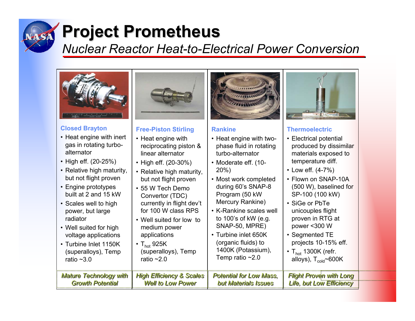

# **Project Prometheus Project Prometheus**

### *Nuclear Reactor Heat-to-Electrical Power Conversion*

| <b>Closed Brayton</b>         | <b>Free-Piston Stirling</b>         | <b>Rankine</b>                 | <b>Thermoelectric</b>                 |
|-------------------------------|-------------------------------------|--------------------------------|---------------------------------------|
| • Heat engine with inert      | • Heat engine with                  | • Heat engine with two-        | • Electrical potential                |
| gas in rotating turbo-        | reciprocating piston &              | phase fluid in rotating        | produced by dissimilar                |
| alternator                    | linear alternator                   | turbo-alternator               | materials exposed to                  |
| • High eff. (20-25%)          | • High eff. (20-30%)                | • Moderate eff. (10-           | temperature diff.                     |
| • Relative high maturity,     | • Relative high maturity,           | 20%                            | • Low eff. $(4-7%)$                   |
| but not flight proven         | but not flight proven               | • Most work completed          | • Flown on SNAP-10A                   |
| • Engine prototypes           | • 55 W Tech Demo                    | during 60's SNAP-8             | (500 W), baselined for                |
| built at 2 and 15 kW          | Convertor (TDC)                     | Program (50 kW                 | SP-100 (100 kW)                       |
| • Scales well to high         | currently in flight dev't           | Mercury Rankine)               | • SiGe or PbTe                        |
| power, but large              | for 100 W class RPS                 | • K-Rankine scales well        | unicouples flight                     |
| radiator                      | • Well suited for low to            | to 100's of kW (e.g.           | proven in RTG at                      |
| • Well suited for high        | medium power                        | SNAP-50, MPRE)                 | power <300 W                          |
| voltage applications          | applications                        | • Turbine inlet 650K           | • Segmented TE                        |
| • Turbine Inlet 1150K         | $\cdot$ T <sub>hot</sub> 925K       | (organic fluids) to            | projects 10-15% eff.                  |
| (superalloys), Temp           | (superalloys), Temp                 | 1400K (Potassium),             | $\cdot$ T <sub>hot</sub> 1300K (refr. |
| ratio $~1.0$                  | ratio $~2.0$                        | Temp ratio $~2.0$              | alloys), $T_{cold}$ ~600K             |
| <b>Mature Technology with</b> | <b>High Efficiency &amp; Scales</b> | <b>Potential for Low Mass.</b> | <b>Flight Proven with Long</b>        |
| <b>Growth Potential</b>       | <b>Well to Low Power</b>            | but Materials Issues           | <b>Life, but Low Efficiency</b>       |

,,,,,,,,,,,,,,,,,,,,,,,,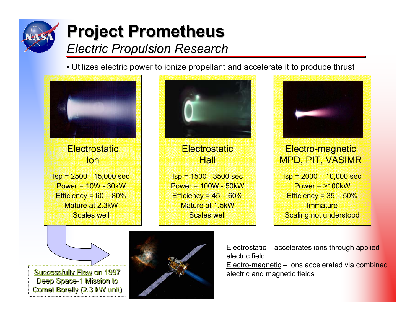

# **Project Prometheus Project Prometheus** *Electric Propulsion Research*

• Utilizes electric power to ionize propellant and accelerate it to produce thrust

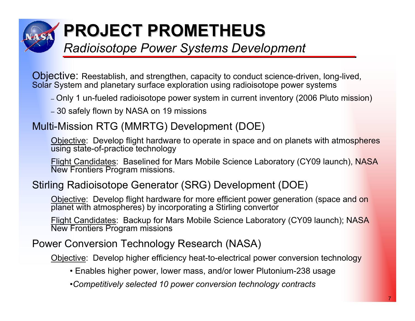

# **PROJECT PROMETHEUS PROJECT PROMETHEUS**

### *Radioisotope Power Systems Development*

Objective: Reestablish, and strengthen, capacity to conduct science-driven, long-lived, Solar System and planetary surface exploration using radioisotope power systems

- ‒ Only 1 un-fueled radioisotope power system in current inventory (2006 Pluto mission)
- ‒ 30 safely flown by NASA on 19 missions

#### Multi-Mission RTG (MMRTG) Development (DOE)

Objective: Develop flight hardware to operate in space and on planets with atmospheres using state-of-practice technology

Flight Candidates: Baselined for Mars Mobile Science Laboratory (CY09 launch), NASA New Frontiers Program missions.

#### Stirling Radioisotope Generator (SRG) Development (DOE)

Objective: Develop flight hardware for more efficient power generation (space and on planet with atmospheres) by incorporating a Stirling convertor

Flight Candidates: Backup for Mars Mobile Science Laboratory (CY09 launch); NASA New Frontiers Program missions

#### Power Conversion Technology Research (NASA)

Objective: Develop higher efficiency heat-to-electrical power conversion technology

- Enables higher power, lower mass, and/or lower Plutonium-238 usage
- •*Competitively selected 10 power conversion technology contracts*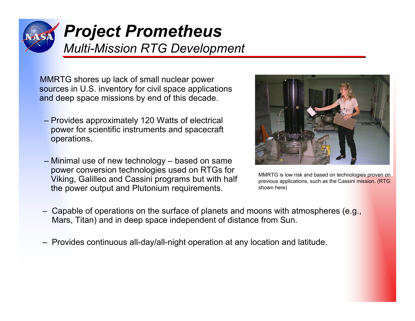

## *Project Prometheus Multi-Mission RTG Development*

MMRTG shores up lack of small nuclear power sources in U.S. inventory for civil space applications and deep space missions by end of this decade.

- Provides approximately 120 Watts of electrical power for scientific instruments and spacecraft operations.
- Minimal use of new technology based on same power conversion technologies used on RTGs for Viking, Galilleo and Cassini programs but with half the power output and Plutonium requirements.



MMRTG is low risk and based on technologies proven on previous applications, such as the Cassini mission. (RTG shown here)

- Capable of operations on the surface of planets and moons with atmospheres (e.g., Mars, Titan) and in deep space independent of distance from Sun.
- Provides continuous all-day/all-night operation at any location and latitude.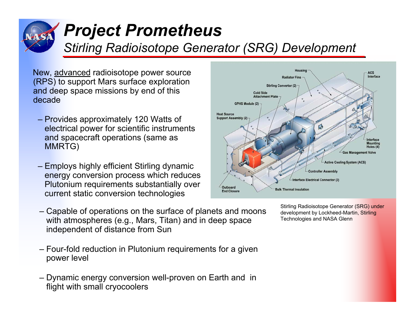

# *Project Prometheus*

## *Stirling Radioisotope Generator (SRG) Development*

New, advanced radioisotope power source (RPS) to support Mars surface exploration and deep space missions by end of this decade

- Provides approximately 120 Watts of electrical power for scientific instruments and spacecraft operations (same as MMRTG)
- Employs highly efficient Stirling dynamic energy conversion process which reduces Plutonium requirements substantially over current static conversion technologies
- Capable of operations on the surface of planets and moons with atmospheres (e.g., Mars, Titan) and in deep space independent of distance from Sun
- Four-fold reduction in Plutonium requirements for a given power level
- Dynamic energy conversion well-proven on Earth and in flight with small cryocoolers



Stirling Radioisotope Generator (SRG) under development by Lockheed-Martin, Stirling Technologies and NASA Glenn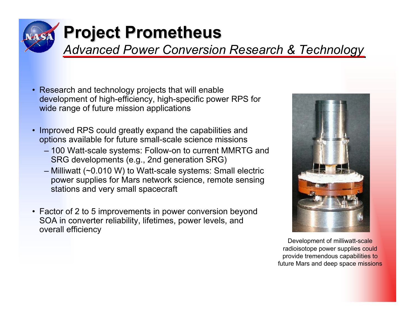

# **Project Prometheus Project Prometheus**

*Advanced Power Conversion Research & Technology*

- Research and technology projects that will enable development of high-efficiency, high-specific power RPS for wide range of future mission applications
- • Improved RPS could greatly expand the capabilities and options available for future small-scale science missions
	- 100 Watt-scale systems: Follow-on to current MMRTG and SRG developments (e.g., 2nd generation SRG)
	- Milliwatt (~0.010 W) to Watt-scale systems: Small electric power supplies for Mars network science, remote sensing stations and very small spacecraft
- Factor of 2 to 5 improvements in power conversion beyond SOA in converter reliability, lifetimes, power levels, and overall efficiency



Development of milliwatt-scale radioisotope power supplies could provide tremendous capabilities to future Mars and deep space missions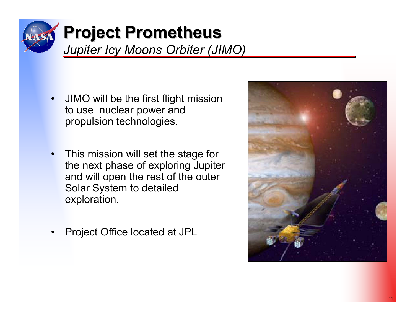

## **Project Prometheus Project Prometheus** *Jupiter Icy Moons Orbiter (JIMO)*

- • JIMO will be the first flight mission to use nuclear power and propulsion technologies.
- • This mission will set the stage for the next phase of exploring Jupiter and will open the rest of the outer Solar System to detailed exploration.
- •Project Office located at JPL

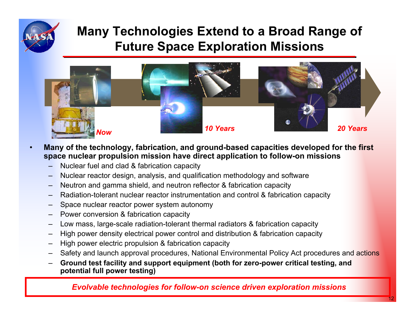

•

## **Many Technologies Extend to a Broad Range of Future Space Exploration Missions**



- **Many of the technology, fabrication, and ground-based capacities developed for the first space nuclear propulsion mission have direct application to follow-on missions**
	- –Nuclear fuel and clad & fabrication capacity
	- –Nuclear reactor design, analysis, and qualification methodology and software
	- Neutron and gamma shield, and neutron reflector & fabrication capacity
	- –Radiation-tolerant nuclear reactor instrumentation and control & fabrication capacity
	- –Space nuclear reactor power system autonomy
	- –Power conversion & fabrication capacity
	- –Low mass, large-scale radiation-tolerant thermal radiators & fabrication capacity
	- –High power density electrical power control and distribution & fabrication capacity
	- –High power electric propulsion & fabrication capacity
	- –Safety and launch approval procedures, National Environmental Policy Act procedures and actions
	- – **Ground test facility and support equipment (both for zero-power critical testing, and potential full power testing)**

#### *Evolvable technologies for follow-on science driven exploration missions*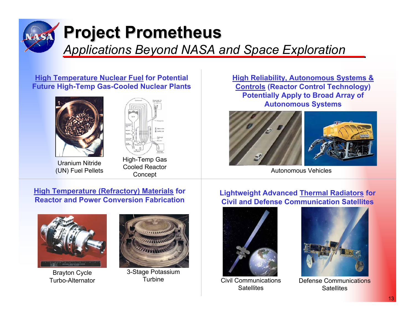

# **Project Prometheus Project Prometheus**

*Applications Beyond NASA and Space Exploration*

#### **High Temperature Nuclear Fuel for Potential Future High-Temp Gas-Cooled Nuclear Plants**





Uranium Nitride (UN) Fuel Pellets

High-Temp Gas Cooled Reactor **Concept** 

**High Reliability, Autonomous Systems & Controls (Reactor Control Technology) Potentially Apply to Broad Array of Autonomous Systems**





Autonomous Vehicles

#### **High Temperature (Refractory) Materials for Reactor and Power Conversion Fabrication**



Brayton Cycle Turbo-Alternator



3-Stage Potassium Turbine

#### **Lightweight Advanced Thermal Radiators for Civil and Defense Communication Satellites**



Civil Communications **Satellites** 



Defense Communications **Satellites**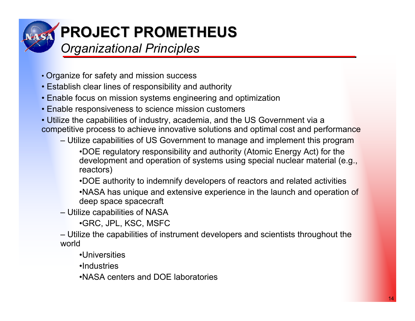

# **PROJECT PROMETHEUS PROJECT PROMETHEUS**

### *Organizational Principles*

- Organize for safety and mission success
- Establish clear lines of responsibility and authority
- Enable focus on mission systems engineering and optimization
- Enable responsiveness to science mission customers
- Utilize the capabilities of industry, academia, and the US Government via a competitive process to achieve innovative solutions and optimal cost and performance
	- Utilize capabilities of US Government to manage and implement this program
		- •DOE regulatory responsibility and authority (Atomic Energy Act) for the development and operation of systems using special nuclear material (e.g., reactors)
		- •DOE authority to indemnify developers of reactors and related activities
		- •NASA has unique and extensive experience in the launch and operation of deep space spacecraft
	- Utilize capabilities of NASA
		- •GRC, JPL, KSC, MSFC
	- Utilize the capabilities of instrument developers and scientists throughout the world
		- •Universities
		- •Industries
		- •NASA centers and DOE laboratories